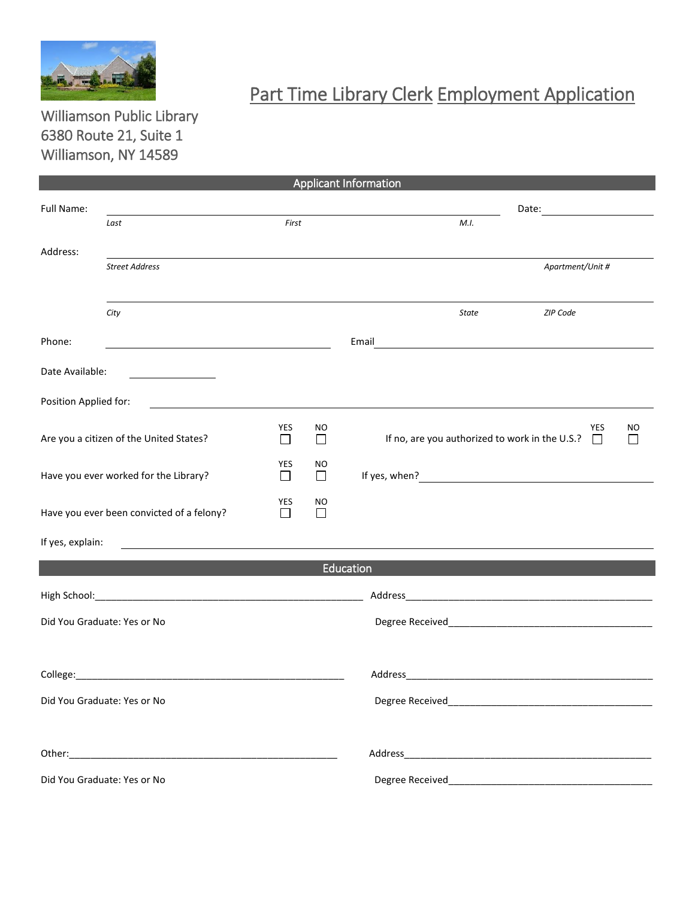

## Part Time Library Clerk Employment Application

Williamson Public Library 6380 Route 21, Suite 1 Williamson, NY 14589

| <b>Applicant Information</b>              |                                                     |               |                                                |                                                                                                                                                                                                                                       |                                                       |  |  |  |  |
|-------------------------------------------|-----------------------------------------------------|---------------|------------------------------------------------|---------------------------------------------------------------------------------------------------------------------------------------------------------------------------------------------------------------------------------------|-------------------------------------------------------|--|--|--|--|
| Full Name:                                |                                                     |               |                                                |                                                                                                                                                                                                                                       |                                                       |  |  |  |  |
|                                           | Last                                                | First         |                                                | M.I.                                                                                                                                                                                                                                  |                                                       |  |  |  |  |
| Address:                                  |                                                     |               |                                                |                                                                                                                                                                                                                                       |                                                       |  |  |  |  |
|                                           | <b>Street Address</b>                               |               |                                                |                                                                                                                                                                                                                                       | Apartment/Unit #                                      |  |  |  |  |
|                                           |                                                     |               |                                                |                                                                                                                                                                                                                                       |                                                       |  |  |  |  |
|                                           | City                                                |               |                                                | State                                                                                                                                                                                                                                 | <b>ZIP Code</b>                                       |  |  |  |  |
| Phone:                                    |                                                     |               |                                                | Email                                                                                                                                                                                                                                 | <u> 1980 - Johann Stoff, fransk politik (d. 1980)</u> |  |  |  |  |
| Date Available:                           | <u> 1986 - John Stone, amerikansk politiker (</u>   |               |                                                |                                                                                                                                                                                                                                       |                                                       |  |  |  |  |
| Position Applied for:                     |                                                     |               |                                                |                                                                                                                                                                                                                                       |                                                       |  |  |  |  |
| Are you a citizen of the United States?   | <b>YES</b><br>$\Box$                                | ΝO<br>$\Box$  | If no, are you authorized to work in the U.S.? | <b>YES</b><br>$\Box$                                                                                                                                                                                                                  | NO                                                    |  |  |  |  |
| Have you ever worked for the Library?     |                                                     | YES<br>$\Box$ | NO<br>$\Box$                                   | If yes, when?<br><u>Consequence</u> is a set of the set of the set of the set of the set of the set of the set of the set of the set of the set of the set of the set of the set of the set of the set of the set of the set of the s |                                                       |  |  |  |  |
| Have you ever been convicted of a felony? |                                                     | YES<br>П      | NO<br>П                                        |                                                                                                                                                                                                                                       |                                                       |  |  |  |  |
| If yes, explain:                          | <u> 1989 - Johann Barbara, martxa alemaniar arg</u> |               |                                                |                                                                                                                                                                                                                                       |                                                       |  |  |  |  |
|                                           |                                                     |               |                                                | Education                                                                                                                                                                                                                             |                                                       |  |  |  |  |
|                                           |                                                     |               |                                                |                                                                                                                                                                                                                                       |                                                       |  |  |  |  |
| Did You Graduate: Yes or No               |                                                     |               |                                                |                                                                                                                                                                                                                                       |                                                       |  |  |  |  |
|                                           |                                                     |               |                                                |                                                                                                                                                                                                                                       |                                                       |  |  |  |  |
| College:                                  |                                                     |               | Address                                        |                                                                                                                                                                                                                                       |                                                       |  |  |  |  |
|                                           | Did You Graduate: Yes or No                         |               |                                                |                                                                                                                                                                                                                                       |                                                       |  |  |  |  |
|                                           |                                                     |               |                                                |                                                                                                                                                                                                                                       |                                                       |  |  |  |  |
| Did You Graduate: Yes or No               |                                                     |               |                                                |                                                                                                                                                                                                                                       |                                                       |  |  |  |  |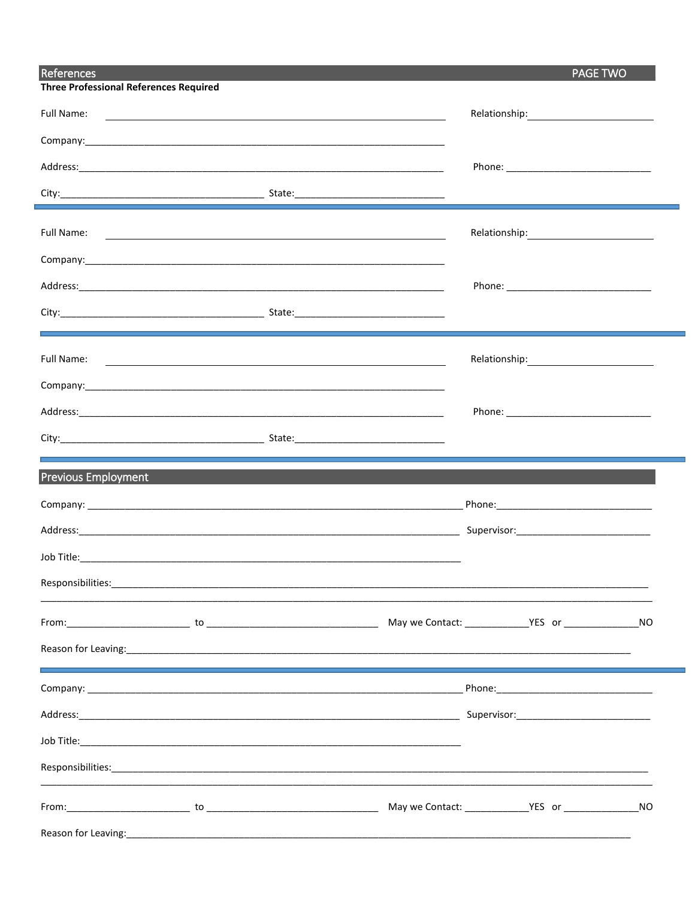| References                                    |                                                                                                                       | <b>PAGE TWO</b> |           |
|-----------------------------------------------|-----------------------------------------------------------------------------------------------------------------------|-----------------|-----------|
| <b>Three Professional References Required</b> |                                                                                                                       |                 |           |
| Full Name:                                    | <u> 1999 - Johann Barbara, marka a shekara ta 1999 - Anna a tsarann an tsarann an tsarann an tsarann an tsarann a</u> |                 |           |
|                                               |                                                                                                                       |                 |           |
|                                               |                                                                                                                       |                 |           |
|                                               |                                                                                                                       |                 |           |
|                                               |                                                                                                                       |                 |           |
|                                               |                                                                                                                       |                 |           |
|                                               |                                                                                                                       |                 |           |
|                                               |                                                                                                                       |                 |           |
|                                               |                                                                                                                       |                 |           |
|                                               |                                                                                                                       |                 |           |
|                                               |                                                                                                                       |                 |           |
|                                               |                                                                                                                       |                 |           |
|                                               |                                                                                                                       |                 |           |
|                                               |                                                                                                                       |                 |           |
| <b>Previous Employment</b>                    |                                                                                                                       |                 |           |
|                                               |                                                                                                                       |                 |           |
|                                               |                                                                                                                       |                 |           |
|                                               |                                                                                                                       |                 |           |
|                                               |                                                                                                                       |                 |           |
|                                               |                                                                                                                       |                 |           |
|                                               |                                                                                                                       |                 | <b>NO</b> |
|                                               |                                                                                                                       |                 |           |
|                                               |                                                                                                                       |                 |           |
|                                               |                                                                                                                       |                 |           |
|                                               |                                                                                                                       |                 |           |
|                                               |                                                                                                                       |                 |           |
|                                               |                                                                                                                       |                 |           |
|                                               |                                                                                                                       |                 |           |
|                                               |                                                                                                                       |                 | NO.       |

Reason for Leaving: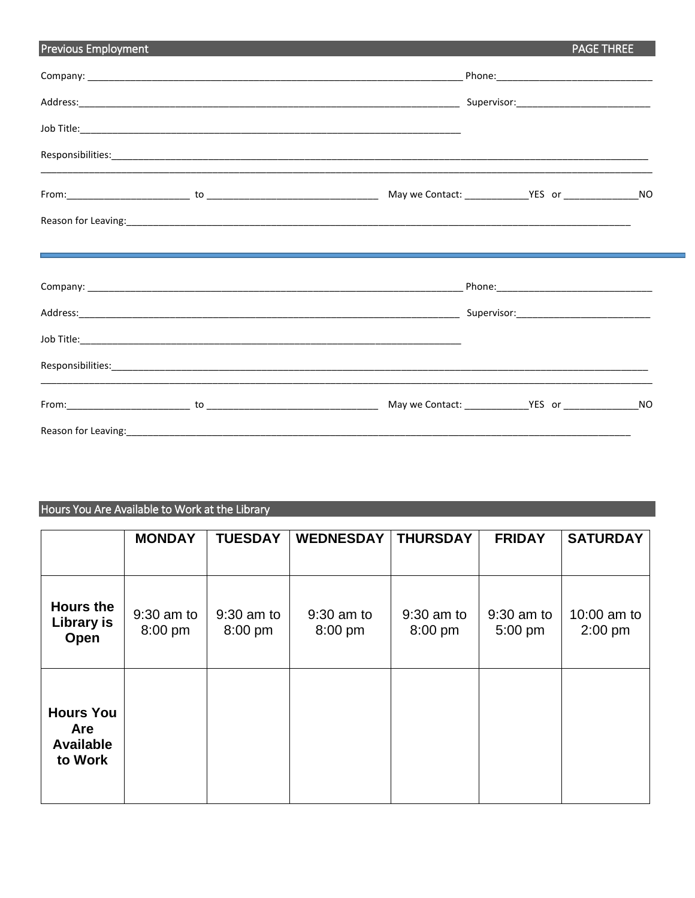| <b>Previous Employment</b> |                                                                                                                                                                                                                                |  | <b>PAGE THREE</b> |  |
|----------------------------|--------------------------------------------------------------------------------------------------------------------------------------------------------------------------------------------------------------------------------|--|-------------------|--|
|                            |                                                                                                                                                                                                                                |  |                   |  |
|                            |                                                                                                                                                                                                                                |  |                   |  |
|                            |                                                                                                                                                                                                                                |  |                   |  |
|                            |                                                                                                                                                                                                                                |  |                   |  |
|                            |                                                                                                                                                                                                                                |  |                   |  |
|                            | Reason for Leaving: contained a set of the contract of the contract of the contract of the contract of the contract of the contract of the contract of the contract of the contract of the contract of the contract of the con |  |                   |  |
|                            | ,我们也不会有什么。""我们的人,我们也不会有什么?""我们的人,我们也不会有什么?""我们的人,我们也不会有什么?""我们的人,我们也不会有什么?""我们的人                                                                                                                                               |  |                   |  |
|                            |                                                                                                                                                                                                                                |  |                   |  |
|                            |                                                                                                                                                                                                                                |  |                   |  |
|                            |                                                                                                                                                                                                                                |  |                   |  |
|                            |                                                                                                                                                                                                                                |  |                   |  |
|                            |                                                                                                                                                                                                                                |  |                   |  |
|                            | Reason for Leaving: 1990 and 2000 and 2000 and 2000 and 2000 and 2000 and 2000 and 2000 and 2000 and 2000 and 2000 and 2000 and 2000 and 2000 and 2000 and 2000 and 2000 and 2000 and 2000 and 2000 and 2000 and 2000 and 2000 |  |                   |  |

## Hours You Are Available to Work at the Library

|                                                               | <b>MONDAY</b>           | <b>TUESDAY</b>          | <b>WEDNESDAY</b>        | <b>THURSDAY</b>         | <b>FRIDAY</b>           | <b>SATURDAY</b>          |
|---------------------------------------------------------------|-------------------------|-------------------------|-------------------------|-------------------------|-------------------------|--------------------------|
|                                                               |                         |                         |                         |                         |                         |                          |
| <b>Hours the</b><br>Library is<br>Open                        | $9:30$ am to<br>8:00 pm | $9:30$ am to<br>8:00 pm | $9:30$ am to<br>8:00 pm | $9:30$ am to<br>8:00 pm | 9:30 am to<br>$5:00$ pm | 10:00 am to<br>$2:00$ pm |
| <b>Hours You</b><br><b>Are</b><br><b>Available</b><br>to Work |                         |                         |                         |                         |                         |                          |